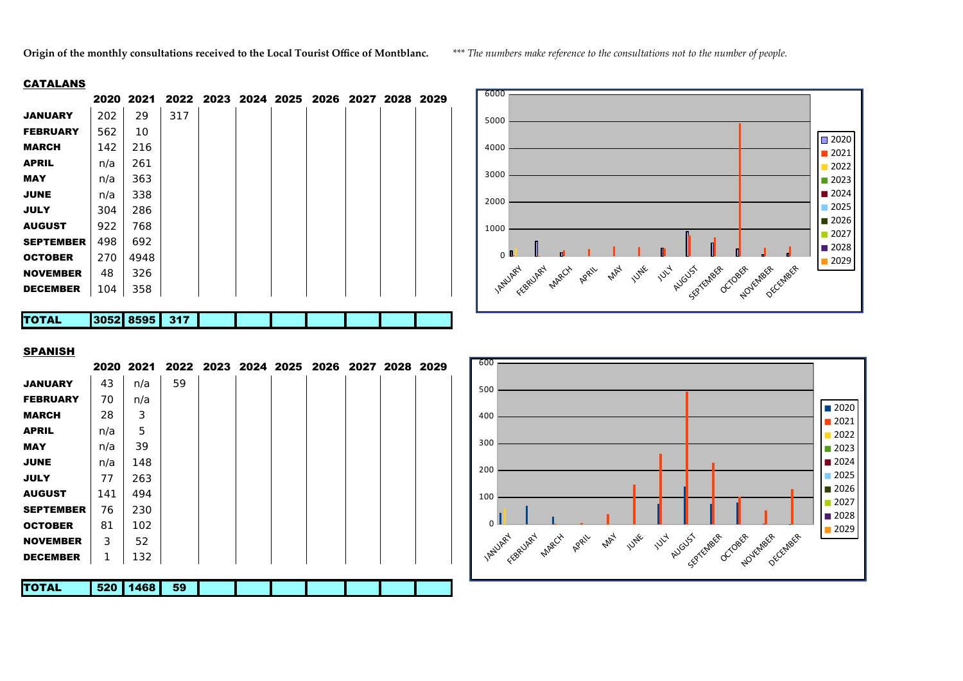**Origin of the monthly consultations received to the Local Tourist Office of Montblanc.** *\*\*\* The numbers make reference to the consultations not to the number of people.*

## **CATALANS**

|                  |      | 2020 2021 |     |  | 2022 2023 2024 2025 2026 2027 2028 2029 |  |  |
|------------------|------|-----------|-----|--|-----------------------------------------|--|--|
| <b>JANUARY</b>   | 202  | 29        | 317 |  |                                         |  |  |
| <b>FEBRUARY</b>  | 562  | 10        |     |  |                                         |  |  |
| <b>MARCH</b>     | 142  | 216       |     |  |                                         |  |  |
| <b>APRIL</b>     | n/a  | 261       |     |  |                                         |  |  |
| <b>MAY</b>       | n/a  | 363       |     |  |                                         |  |  |
| <b>JUNE</b>      | n/a  | 338       |     |  |                                         |  |  |
| <b>JULY</b>      | 304  | 286       |     |  |                                         |  |  |
| <b>AUGUST</b>    | 922  | 768       |     |  |                                         |  |  |
| <b>SEPTEMBER</b> | 498  | 692       |     |  |                                         |  |  |
| <b>OCTOBER</b>   | 270  | 4948      |     |  |                                         |  |  |
| <b>NOVEMBER</b>  | 48   | 326       |     |  |                                         |  |  |
| <b>DECEMBER</b>  | 104  | 358       |     |  |                                         |  |  |
|                  |      |           |     |  |                                         |  |  |
| <b>TOTAL</b>     | 3052 | 8595      | 317 |  |                                         |  |  |



## SPANISH

|                  |     | 2020 2021 |    |  | 2022 2023 2024 2025 2026 2027 2028 2029 |  |  |
|------------------|-----|-----------|----|--|-----------------------------------------|--|--|
| <b>JANUARY</b>   | 43  | n/a       | 59 |  |                                         |  |  |
| <b>FEBRUARY</b>  | 70  | n/a       |    |  |                                         |  |  |
| <b>MARCH</b>     | 28  | 3         |    |  |                                         |  |  |
| <b>APRIL</b>     | n/a | 5         |    |  |                                         |  |  |
| <b>MAY</b>       | n/a | 39        |    |  |                                         |  |  |
| <b>JUNE</b>      | n/a | 148       |    |  |                                         |  |  |
| <b>JULY</b>      | 77  | 263       |    |  |                                         |  |  |
| <b>AUGUST</b>    | 141 | 494       |    |  |                                         |  |  |
| <b>SEPTEMBER</b> | 76  | 230       |    |  |                                         |  |  |
| <b>OCTOBER</b>   | 81  | 102       |    |  |                                         |  |  |
| <b>NOVEMBER</b>  | 3   | 52        |    |  |                                         |  |  |
| <b>DECEMBER</b>  | 1   | 132       |    |  |                                         |  |  |
|                  |     |           |    |  |                                         |  |  |
| <b>TOTAL</b>     | 520 | 1468      | 59 |  |                                         |  |  |